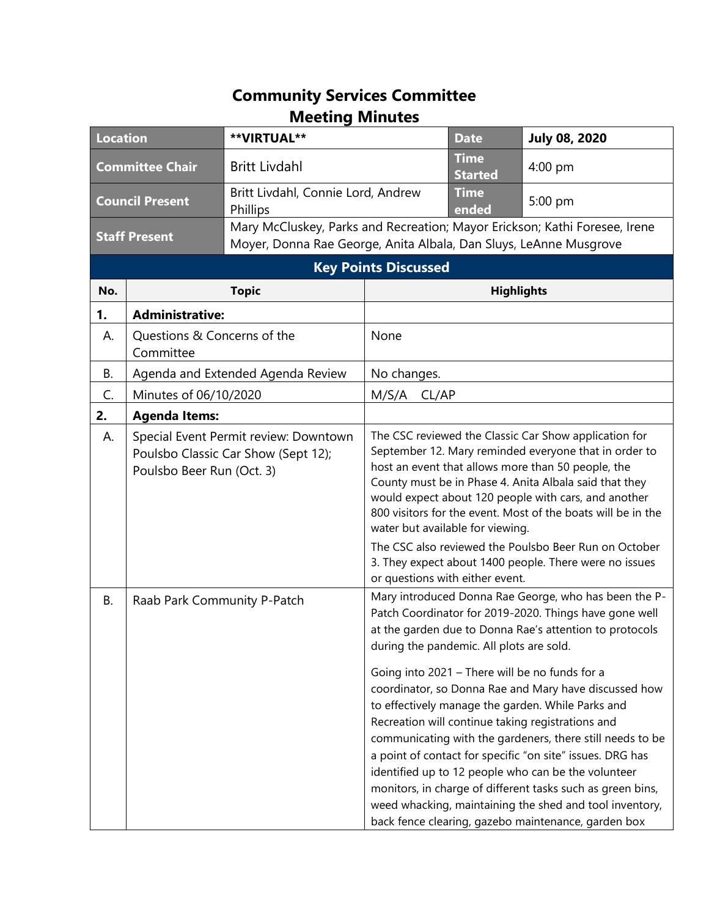## **Community Services Committee Meeting Minutes**

| <b>Location</b>        |                                                                                                           | **VIRTUAL**                                                                                                                                     |                                                                                                                                                                                                                                                                                                                                                                                                                                                     | <b>Date</b>                   | <b>July 08, 2020</b>                                                                                                                                                                                                                                                                                                                                                                                                                                                                                                                                                               |
|------------------------|-----------------------------------------------------------------------------------------------------------|-------------------------------------------------------------------------------------------------------------------------------------------------|-----------------------------------------------------------------------------------------------------------------------------------------------------------------------------------------------------------------------------------------------------------------------------------------------------------------------------------------------------------------------------------------------------------------------------------------------------|-------------------------------|------------------------------------------------------------------------------------------------------------------------------------------------------------------------------------------------------------------------------------------------------------------------------------------------------------------------------------------------------------------------------------------------------------------------------------------------------------------------------------------------------------------------------------------------------------------------------------|
| <b>Committee Chair</b> |                                                                                                           | <b>Britt Livdahl</b>                                                                                                                            |                                                                                                                                                                                                                                                                                                                                                                                                                                                     | <b>Time</b><br><b>Started</b> | $4:00$ pm                                                                                                                                                                                                                                                                                                                                                                                                                                                                                                                                                                          |
| <b>Council Present</b> |                                                                                                           | Britt Livdahl, Connie Lord, Andrew<br>Phillips                                                                                                  |                                                                                                                                                                                                                                                                                                                                                                                                                                                     | <b>Time</b><br>ended          | 5:00 pm                                                                                                                                                                                                                                                                                                                                                                                                                                                                                                                                                                            |
| <b>Staff Present</b>   |                                                                                                           | Mary McCluskey, Parks and Recreation; Mayor Erickson; Kathi Foresee, Irene<br>Moyer, Donna Rae George, Anita Albala, Dan Sluys, LeAnne Musgrove |                                                                                                                                                                                                                                                                                                                                                                                                                                                     |                               |                                                                                                                                                                                                                                                                                                                                                                                                                                                                                                                                                                                    |
|                        |                                                                                                           | <b>Key Points Discussed</b>                                                                                                                     |                                                                                                                                                                                                                                                                                                                                                                                                                                                     |                               |                                                                                                                                                                                                                                                                                                                                                                                                                                                                                                                                                                                    |
| No.                    |                                                                                                           | <b>Topic</b>                                                                                                                                    |                                                                                                                                                                                                                                                                                                                                                                                                                                                     | <b>Highlights</b>             |                                                                                                                                                                                                                                                                                                                                                                                                                                                                                                                                                                                    |
| 1.                     | <b>Administrative:</b>                                                                                    |                                                                                                                                                 |                                                                                                                                                                                                                                                                                                                                                                                                                                                     |                               |                                                                                                                                                                                                                                                                                                                                                                                                                                                                                                                                                                                    |
| А.                     | Questions & Concerns of the<br>Committee                                                                  |                                                                                                                                                 | None                                                                                                                                                                                                                                                                                                                                                                                                                                                |                               |                                                                                                                                                                                                                                                                                                                                                                                                                                                                                                                                                                                    |
| <b>B.</b>              | Agenda and Extended Agenda Review                                                                         |                                                                                                                                                 | No changes.                                                                                                                                                                                                                                                                                                                                                                                                                                         |                               |                                                                                                                                                                                                                                                                                                                                                                                                                                                                                                                                                                                    |
| C.                     | Minutes of 06/10/2020                                                                                     |                                                                                                                                                 | M/S/A<br>CL/AP                                                                                                                                                                                                                                                                                                                                                                                                                                      |                               |                                                                                                                                                                                                                                                                                                                                                                                                                                                                                                                                                                                    |
| 2.                     | <b>Agenda Items:</b>                                                                                      |                                                                                                                                                 |                                                                                                                                                                                                                                                                                                                                                                                                                                                     |                               |                                                                                                                                                                                                                                                                                                                                                                                                                                                                                                                                                                                    |
| А.                     | Special Event Permit review: Downtown<br>Poulsbo Classic Car Show (Sept 12);<br>Poulsbo Beer Run (Oct. 3) |                                                                                                                                                 | The CSC reviewed the Classic Car Show application for<br>September 12. Mary reminded everyone that in order to<br>host an event that allows more than 50 people, the<br>County must be in Phase 4. Anita Albala said that they<br>would expect about 120 people with cars, and another<br>800 visitors for the event. Most of the boats will be in the<br>water but available for viewing.<br>The CSC also reviewed the Poulsbo Beer Run on October |                               |                                                                                                                                                                                                                                                                                                                                                                                                                                                                                                                                                                                    |
|                        |                                                                                                           |                                                                                                                                                 | or questions with either event.                                                                                                                                                                                                                                                                                                                                                                                                                     |                               | 3. They expect about 1400 people. There were no issues                                                                                                                                                                                                                                                                                                                                                                                                                                                                                                                             |
| B.                     | Raab Park Community P-Patch                                                                               |                                                                                                                                                 | during the pandemic. All plots are sold.                                                                                                                                                                                                                                                                                                                                                                                                            |                               | Mary introduced Donna Rae George, who has been the P-<br>Patch Coordinator for 2019-2020. Things have gone well<br>at the garden due to Donna Rae's attention to protocols                                                                                                                                                                                                                                                                                                                                                                                                         |
|                        |                                                                                                           |                                                                                                                                                 |                                                                                                                                                                                                                                                                                                                                                                                                                                                     |                               | Going into 2021 - There will be no funds for a<br>coordinator, so Donna Rae and Mary have discussed how<br>to effectively manage the garden. While Parks and<br>Recreation will continue taking registrations and<br>communicating with the gardeners, there still needs to be<br>a point of contact for specific "on site" issues. DRG has<br>identified up to 12 people who can be the volunteer<br>monitors, in charge of different tasks such as green bins,<br>weed whacking, maintaining the shed and tool inventory,<br>back fence clearing, gazebo maintenance, garden box |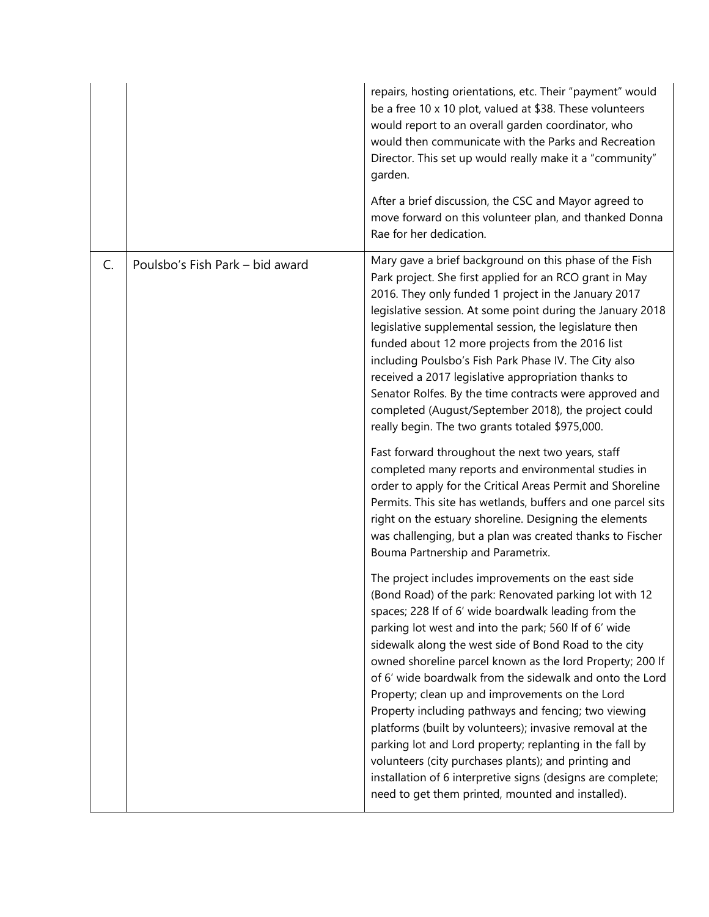|    |                                 | repairs, hosting orientations, etc. Their "payment" would<br>be a free 10 x 10 plot, valued at \$38. These volunteers<br>would report to an overall garden coordinator, who<br>would then communicate with the Parks and Recreation<br>Director. This set up would really make it a "community"<br>garden.<br>After a brief discussion, the CSC and Mayor agreed to                                                                                                                                                                                                                                                                                                                                                                                                                                                            |
|----|---------------------------------|--------------------------------------------------------------------------------------------------------------------------------------------------------------------------------------------------------------------------------------------------------------------------------------------------------------------------------------------------------------------------------------------------------------------------------------------------------------------------------------------------------------------------------------------------------------------------------------------------------------------------------------------------------------------------------------------------------------------------------------------------------------------------------------------------------------------------------|
|    |                                 | move forward on this volunteer plan, and thanked Donna<br>Rae for her dedication.                                                                                                                                                                                                                                                                                                                                                                                                                                                                                                                                                                                                                                                                                                                                              |
| C. | Poulsbo's Fish Park - bid award | Mary gave a brief background on this phase of the Fish<br>Park project. She first applied for an RCO grant in May<br>2016. They only funded 1 project in the January 2017<br>legislative session. At some point during the January 2018<br>legislative supplemental session, the legislature then<br>funded about 12 more projects from the 2016 list<br>including Poulsbo's Fish Park Phase IV. The City also<br>received a 2017 legislative appropriation thanks to<br>Senator Rolfes. By the time contracts were approved and<br>completed (August/September 2018), the project could<br>really begin. The two grants totaled \$975,000.                                                                                                                                                                                    |
|    |                                 | Fast forward throughout the next two years, staff<br>completed many reports and environmental studies in<br>order to apply for the Critical Areas Permit and Shoreline<br>Permits. This site has wetlands, buffers and one parcel sits<br>right on the estuary shoreline. Designing the elements<br>was challenging, but a plan was created thanks to Fischer<br>Bouma Partnership and Parametrix.                                                                                                                                                                                                                                                                                                                                                                                                                             |
|    |                                 | The project includes improvements on the east side<br>(Bond Road) of the park: Renovated parking lot with 12<br>spaces; 228 If of 6' wide boardwalk leading from the<br>parking lot west and into the park; 560 If of 6' wide<br>sidewalk along the west side of Bond Road to the city<br>owned shoreline parcel known as the lord Property; 200 If<br>of 6' wide boardwalk from the sidewalk and onto the Lord<br>Property; clean up and improvements on the Lord<br>Property including pathways and fencing; two viewing<br>platforms (built by volunteers); invasive removal at the<br>parking lot and Lord property; replanting in the fall by<br>volunteers (city purchases plants); and printing and<br>installation of 6 interpretive signs (designs are complete;<br>need to get them printed, mounted and installed). |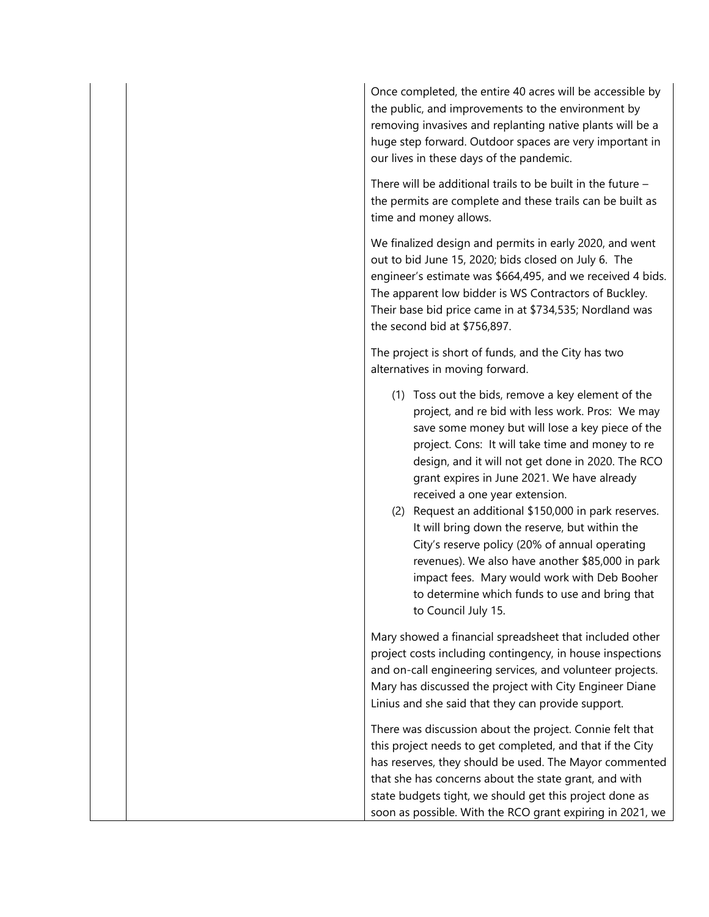Once completed, the entire 40 acres will be accessible by the public, and improvements to the environment by removing invasives and replanting native plants will be a huge step forward. Outdoor spaces are very important in our lives in these days of the pandemic.

There will be additional trails to be built in the future – the permits are complete and these trails can be built as time and money allows.

We finalized design and permits in early 2020, and went out to bid June 15, 2020; bids closed on July 6. The engineer's estimate was \$664,495, and we received 4 bids. The apparent low bidder is WS Contractors of Buckley. Their base bid price came in at \$734,535; Nordland was the second bid at \$756,897.

The project is short of funds, and the City has two alternatives in moving forward.

- (1) Toss out the bids, remove a key element of the project, and re bid with less work. Pros: We may save some money but will lose a key piece of the project. Cons: It will take time and money to re design, and it will not get done in 2020. The RCO grant expires in June 2021. We have already received a one year extension.
- (2) Request an additional \$150,000 in park reserves. It will bring down the reserve, but within the City's reserve policy (20% of annual operating revenues). We also have another \$85,000 in park impact fees. Mary would work with Deb Booher to determine which funds to use and bring that to Council July 15.

Mary showed a financial spreadsheet that included other project costs including contingency, in house inspections and on-call engineering services, and volunteer projects. Mary has discussed the project with City Engineer Diane Linius and she said that they can provide support.

There was discussion about the project. Connie felt that this project needs to get completed, and that if the City has reserves, they should be used. The Mayor commented that she has concerns about the state grant, and with state budgets tight, we should get this project done as soon as possible. With the RCO grant expiring in 2021, we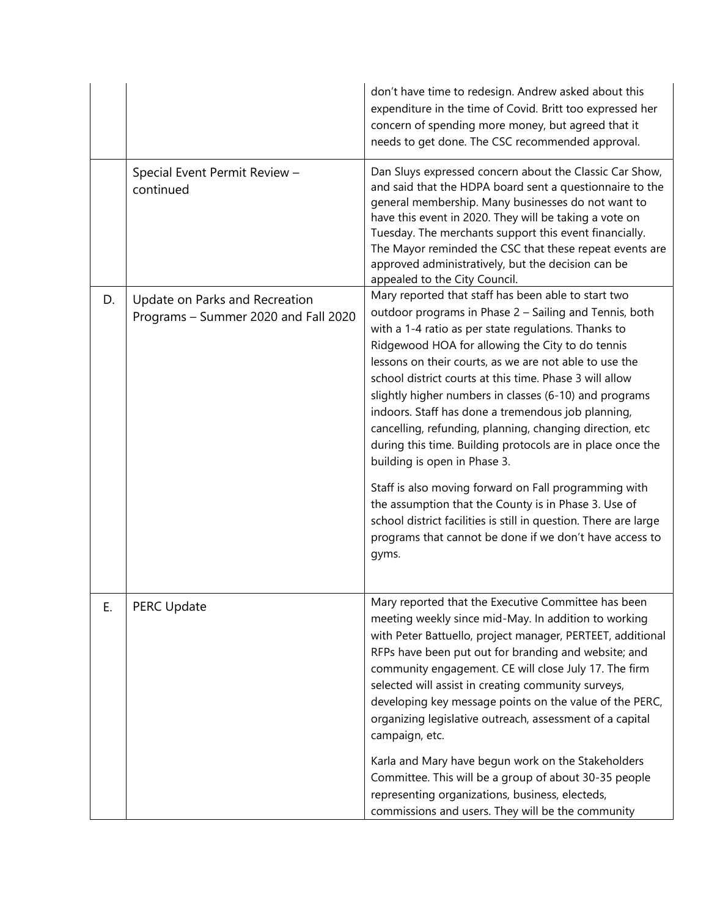|    |                                                                        | don't have time to redesign. Andrew asked about this<br>expenditure in the time of Covid. Britt too expressed her<br>concern of spending more money, but agreed that it<br>needs to get done. The CSC recommended approval.                                                                                                                                                                                                                                                                                                                                                                                                                                                                                                                                                                                                                                                       |
|----|------------------------------------------------------------------------|-----------------------------------------------------------------------------------------------------------------------------------------------------------------------------------------------------------------------------------------------------------------------------------------------------------------------------------------------------------------------------------------------------------------------------------------------------------------------------------------------------------------------------------------------------------------------------------------------------------------------------------------------------------------------------------------------------------------------------------------------------------------------------------------------------------------------------------------------------------------------------------|
|    | Special Event Permit Review -<br>continued                             | Dan Sluys expressed concern about the Classic Car Show,<br>and said that the HDPA board sent a questionnaire to the<br>general membership. Many businesses do not want to<br>have this event in 2020. They will be taking a vote on<br>Tuesday. The merchants support this event financially.<br>The Mayor reminded the CSC that these repeat events are<br>approved administratively, but the decision can be<br>appealed to the City Council.                                                                                                                                                                                                                                                                                                                                                                                                                                   |
| D. | Update on Parks and Recreation<br>Programs - Summer 2020 and Fall 2020 | Mary reported that staff has been able to start two<br>outdoor programs in Phase 2 - Sailing and Tennis, both<br>with a 1-4 ratio as per state regulations. Thanks to<br>Ridgewood HOA for allowing the City to do tennis<br>lessons on their courts, as we are not able to use the<br>school district courts at this time. Phase 3 will allow<br>slightly higher numbers in classes (6-10) and programs<br>indoors. Staff has done a tremendous job planning,<br>cancelling, refunding, planning, changing direction, etc<br>during this time. Building protocols are in place once the<br>building is open in Phase 3.<br>Staff is also moving forward on Fall programming with<br>the assumption that the County is in Phase 3. Use of<br>school district facilities is still in question. There are large<br>programs that cannot be done if we don't have access to<br>gyms. |
| Ε. | <b>PERC Update</b>                                                     | Mary reported that the Executive Committee has been<br>meeting weekly since mid-May. In addition to working<br>with Peter Battuello, project manager, PERTEET, additional<br>RFPs have been put out for branding and website; and<br>community engagement. CE will close July 17. The firm<br>selected will assist in creating community surveys,<br>developing key message points on the value of the PERC,<br>organizing legislative outreach, assessment of a capital<br>campaign, etc.<br>Karla and Mary have begun work on the Stakeholders<br>Committee. This will be a group of about 30-35 people<br>representing organizations, business, electeds,<br>commissions and users. They will be the community                                                                                                                                                                 |